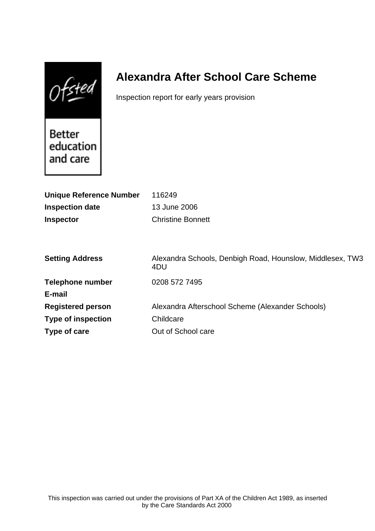$Of$ sted

# **Alexandra After School Care Scheme**

Inspection report for early years provision

Better education and care

| <b>Unique Reference Number</b> | 116249                                                           |
|--------------------------------|------------------------------------------------------------------|
| <b>Inspection date</b>         | 13 June 2006                                                     |
| <b>Inspector</b>               | <b>Christine Bonnett</b>                                         |
|                                |                                                                  |
|                                |                                                                  |
| <b>Setting Address</b>         | Alexandra Schools, Denbigh Road, Hounslow, Middlesex, TW3<br>4DU |
| <b>Telephone number</b>        | 0208 572 7495                                                    |
| E-mail                         |                                                                  |
| <b>Registered person</b>       | Alexandra Afterschool Scheme (Alexander Schools)                 |
| <b>Type of inspection</b>      | Childcare                                                        |
| Type of care                   | Out of School care                                               |
|                                |                                                                  |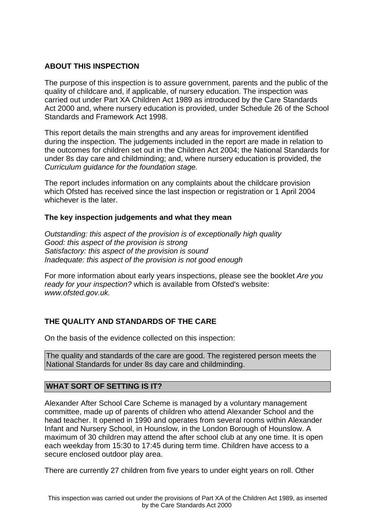## **ABOUT THIS INSPECTION**

The purpose of this inspection is to assure government, parents and the public of the quality of childcare and, if applicable, of nursery education. The inspection was carried out under Part XA Children Act 1989 as introduced by the Care Standards Act 2000 and, where nursery education is provided, under Schedule 26 of the School Standards and Framework Act 1998.

This report details the main strengths and any areas for improvement identified during the inspection. The judgements included in the report are made in relation to the outcomes for children set out in the Children Act 2004; the National Standards for under 8s day care and childminding; and, where nursery education is provided, the Curriculum guidance for the foundation stage.

The report includes information on any complaints about the childcare provision which Ofsted has received since the last inspection or registration or 1 April 2004 whichever is the later.

### **The key inspection judgements and what they mean**

Outstanding: this aspect of the provision is of exceptionally high quality Good: this aspect of the provision is strong Satisfactory: this aspect of the provision is sound Inadequate: this aspect of the provision is not good enough

For more information about early years inspections, please see the booklet Are you ready for your inspection? which is available from Ofsted's website: www.ofsted.gov.uk.

## **THE QUALITY AND STANDARDS OF THE CARE**

On the basis of the evidence collected on this inspection:

The quality and standards of the care are good. The registered person meets the National Standards for under 8s day care and childminding.

### **WHAT SORT OF SETTING IS IT?**

Alexander After School Care Scheme is managed by a voluntary management committee, made up of parents of children who attend Alexander School and the head teacher. It opened in 1990 and operates from several rooms within Alexander Infant and Nursery School, in Hounslow, in the London Borough of Hounslow. A maximum of 30 children may attend the after school club at any one time. It is open each weekday from 15:30 to 17:45 during term time. Children have access to a secure enclosed outdoor play area.

There are currently 27 children from five years to under eight years on roll. Other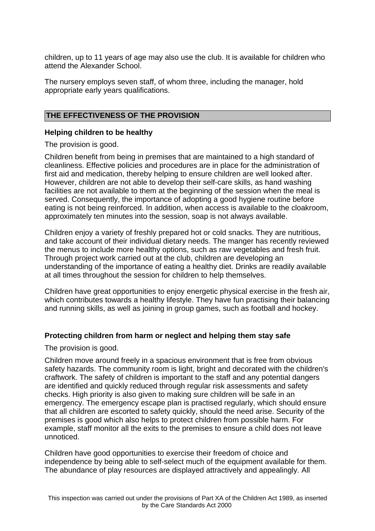children, up to 11 years of age may also use the club. It is available for children who attend the Alexander School.

The nursery employs seven staff, of whom three, including the manager, hold appropriate early years qualifications.

### **THE EFFECTIVENESS OF THE PROVISION**

## **Helping children to be healthy**

The provision is good.

Children benefit from being in premises that are maintained to a high standard of cleanliness. Effective policies and procedures are in place for the administration of first aid and medication, thereby helping to ensure children are well looked after. However, children are not able to develop their self-care skills, as hand washing facilities are not available to them at the beginning of the session when the meal is served. Consequently, the importance of adopting a good hygiene routine before eating is not being reinforced. In addition, when access is available to the cloakroom, approximately ten minutes into the session, soap is not always available.

Children enjoy a variety of freshly prepared hot or cold snacks. They are nutritious, and take account of their individual dietary needs. The manger has recently reviewed the menus to include more healthy options, such as raw vegetables and fresh fruit. Through project work carried out at the club, children are developing an understanding of the importance of eating a healthy diet. Drinks are readily available at all times throughout the session for children to help themselves.

Children have great opportunities to enjoy energetic physical exercise in the fresh air, which contributes towards a healthy lifestyle. They have fun practising their balancing and running skills, as well as joining in group games, such as football and hockey.

### **Protecting children from harm or neglect and helping them stay safe**

The provision is good.

Children move around freely in a spacious environment that is free from obvious safety hazards. The community room is light, bright and decorated with the children's craftwork. The safety of children is important to the staff and any potential dangers are identified and quickly reduced through regular risk assessments and safety checks. High priority is also given to making sure children will be safe in an emergency. The emergency escape plan is practised regularly, which should ensure that all children are escorted to safety quickly, should the need arise. Security of the premises is good which also helps to protect children from possible harm. For example, staff monitor all the exits to the premises to ensure a child does not leave unnoticed.

Children have good opportunities to exercise their freedom of choice and independence by being able to self-select much of the equipment available for them. The abundance of play resources are displayed attractively and appealingly. All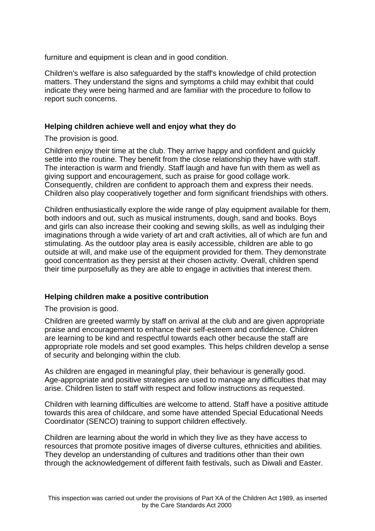furniture and equipment is clean and in good condition.

Children's welfare is also safeguarded by the staff's knowledge of child protection matters. They understand the signs and symptoms a child may exhibit that could indicate they were being harmed and are familiar with the procedure to follow to report such concerns.

## **Helping children achieve well and enjoy what they do**

The provision is good.

Children enjoy their time at the club. They arrive happy and confident and quickly settle into the routine. They benefit from the close relationship they have with staff. The interaction is warm and friendly. Staff laugh and have fun with them as well as giving support and encouragement, such as praise for good collage work. Consequently, children are confident to approach them and express their needs. Children also play cooperatively together and form significant friendships with others.

Children enthusiastically explore the wide range of play equipment available for them, both indoors and out, such as musical instruments, dough, sand and books. Boys and girls can also increase their cooking and sewing skills, as well as indulging their imaginations through a wide variety of art and craft activities, all of which are fun and stimulating. As the outdoor play area is easily accessible, children are able to go outside at will, and make use of the equipment provided for them. They demonstrate good concentration as they persist at their chosen activity. Overall, children spend their time purposefully as they are able to engage in activities that interest them.

### **Helping children make a positive contribution**

The provision is good.

Children are greeted warmly by staff on arrival at the club and are given appropriate praise and encouragement to enhance their self-esteem and confidence. Children are learning to be kind and respectful towards each other because the staff are appropriate role models and set good examples. This helps children develop a sense of security and belonging within the club.

As children are engaged in meaningful play, their behaviour is generally good. Age-appropriate and positive strategies are used to manage any difficulties that may arise. Children listen to staff with respect and follow instructions as requested.

Children with learning difficulties are welcome to attend. Staff have a positive attitude towards this area of childcare, and some have attended Special Educational Needs Coordinator (SENCO) training to support children effectively.

Children are learning about the world in which they live as they have access to resources that promote positive images of diverse cultures, ethnicities and abilities. They develop an understanding of cultures and traditions other than their own through the acknowledgement of different faith festivals, such as Diwali and Easter.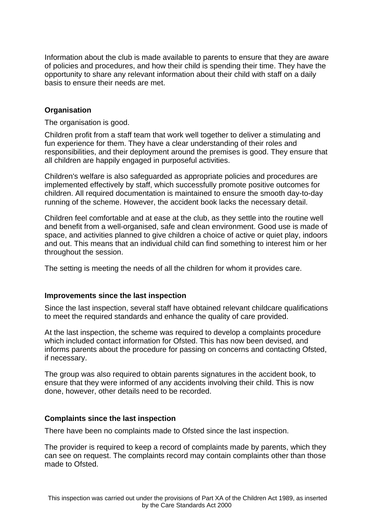Information about the club is made available to parents to ensure that they are aware of policies and procedures, and how their child is spending their time. They have the opportunity to share any relevant information about their child with staff on a daily basis to ensure their needs are met.

## **Organisation**

The organisation is good.

Children profit from a staff team that work well together to deliver a stimulating and fun experience for them. They have a clear understanding of their roles and responsibilities, and their deployment around the premises is good. They ensure that all children are happily engaged in purposeful activities.

Children's welfare is also safeguarded as appropriate policies and procedures are implemented effectively by staff, which successfully promote positive outcomes for children. All required documentation is maintained to ensure the smooth day-to-day running of the scheme. However, the accident book lacks the necessary detail.

Children feel comfortable and at ease at the club, as they settle into the routine well and benefit from a well-organised, safe and clean environment. Good use is made of space, and activities planned to give children a choice of active or quiet play, indoors and out. This means that an individual child can find something to interest him or her throughout the session.

The setting is meeting the needs of all the children for whom it provides care.

### **Improvements since the last inspection**

Since the last inspection, several staff have obtained relevant childcare qualifications to meet the required standards and enhance the quality of care provided.

At the last inspection, the scheme was required to develop a complaints procedure which included contact information for Ofsted. This has now been devised, and informs parents about the procedure for passing on concerns and contacting Ofsted, if necessary.

The group was also required to obtain parents signatures in the accident book, to ensure that they were informed of any accidents involving their child. This is now done, however, other details need to be recorded.

### **Complaints since the last inspection**

There have been no complaints made to Ofsted since the last inspection.

The provider is required to keep a record of complaints made by parents, which they can see on request. The complaints record may contain complaints other than those made to Ofsted.